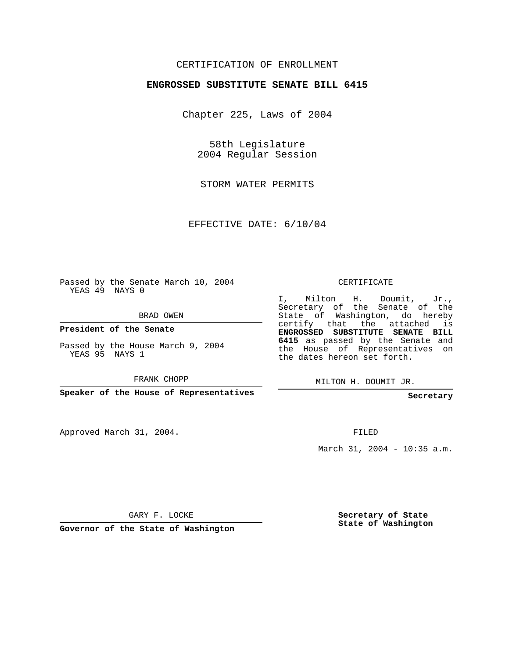## CERTIFICATION OF ENROLLMENT

## **ENGROSSED SUBSTITUTE SENATE BILL 6415**

Chapter 225, Laws of 2004

58th Legislature 2004 Regular Session

STORM WATER PERMITS

EFFECTIVE DATE: 6/10/04

Passed by the Senate March 10, 2004 YEAS 49 NAYS 0

BRAD OWEN

**President of the Senate**

Passed by the House March 9, 2004 YEAS 95 NAYS 1

FRANK CHOPP

**Speaker of the House of Representatives**

Approved March 31, 2004.

CERTIFICATE

I, Milton H. Doumit, Jr., Secretary of the Senate of the State of Washington, do hereby certify that the attached is **ENGROSSED SUBSTITUTE SENATE BILL 6415** as passed by the Senate and the House of Representatives on the dates hereon set forth.

MILTON H. DOUMIT JR.

**Secretary**

FILED

March 31, 2004 - 10:35 a.m.

GARY F. LOCKE

**Governor of the State of Washington**

**Secretary of State State of Washington**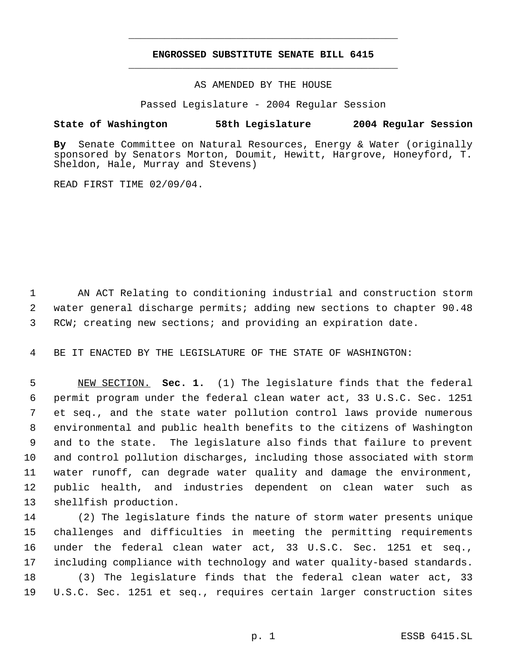## **ENGROSSED SUBSTITUTE SENATE BILL 6415** \_\_\_\_\_\_\_\_\_\_\_\_\_\_\_\_\_\_\_\_\_\_\_\_\_\_\_\_\_\_\_\_\_\_\_\_\_\_\_\_\_\_\_\_\_

\_\_\_\_\_\_\_\_\_\_\_\_\_\_\_\_\_\_\_\_\_\_\_\_\_\_\_\_\_\_\_\_\_\_\_\_\_\_\_\_\_\_\_\_\_

AS AMENDED BY THE HOUSE

Passed Legislature - 2004 Regular Session

## **State of Washington 58th Legislature 2004 Regular Session**

**By** Senate Committee on Natural Resources, Energy & Water (originally sponsored by Senators Morton, Doumit, Hewitt, Hargrove, Honeyford, T. Sheldon, Hale, Murray and Stevens)

READ FIRST TIME 02/09/04.

 AN ACT Relating to conditioning industrial and construction storm water general discharge permits; adding new sections to chapter 90.48 RCW; creating new sections; and providing an expiration date.

BE IT ENACTED BY THE LEGISLATURE OF THE STATE OF WASHINGTON:

 NEW SECTION. **Sec. 1.** (1) The legislature finds that the federal permit program under the federal clean water act, 33 U.S.C. Sec. 1251 et seq., and the state water pollution control laws provide numerous environmental and public health benefits to the citizens of Washington and to the state. The legislature also finds that failure to prevent and control pollution discharges, including those associated with storm water runoff, can degrade water quality and damage the environment, public health, and industries dependent on clean water such as shellfish production.

 (2) The legislature finds the nature of storm water presents unique challenges and difficulties in meeting the permitting requirements under the federal clean water act, 33 U.S.C. Sec. 1251 et seq., including compliance with technology and water quality-based standards. (3) The legislature finds that the federal clean water act, 33 U.S.C. Sec. 1251 et seq., requires certain larger construction sites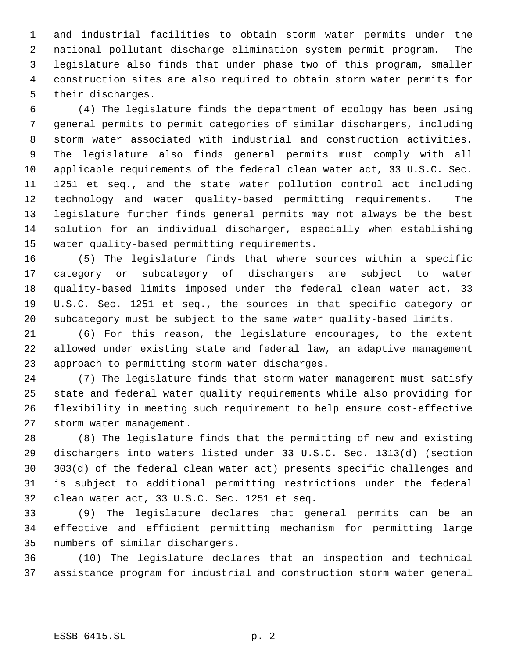and industrial facilities to obtain storm water permits under the national pollutant discharge elimination system permit program. The legislature also finds that under phase two of this program, smaller construction sites are also required to obtain storm water permits for their discharges.

 (4) The legislature finds the department of ecology has been using general permits to permit categories of similar dischargers, including storm water associated with industrial and construction activities. The legislature also finds general permits must comply with all applicable requirements of the federal clean water act, 33 U.S.C. Sec. 1251 et seq., and the state water pollution control act including technology and water quality-based permitting requirements. The legislature further finds general permits may not always be the best solution for an individual discharger, especially when establishing water quality-based permitting requirements.

 (5) The legislature finds that where sources within a specific category or subcategory of dischargers are subject to water quality-based limits imposed under the federal clean water act, 33 U.S.C. Sec. 1251 et seq., the sources in that specific category or subcategory must be subject to the same water quality-based limits.

 (6) For this reason, the legislature encourages, to the extent allowed under existing state and federal law, an adaptive management approach to permitting storm water discharges.

 (7) The legislature finds that storm water management must satisfy state and federal water quality requirements while also providing for flexibility in meeting such requirement to help ensure cost-effective storm water management.

 (8) The legislature finds that the permitting of new and existing dischargers into waters listed under 33 U.S.C. Sec. 1313(d) (section 303(d) of the federal clean water act) presents specific challenges and is subject to additional permitting restrictions under the federal clean water act, 33 U.S.C. Sec. 1251 et seq.

 (9) The legislature declares that general permits can be an effective and efficient permitting mechanism for permitting large numbers of similar dischargers.

 (10) The legislature declares that an inspection and technical assistance program for industrial and construction storm water general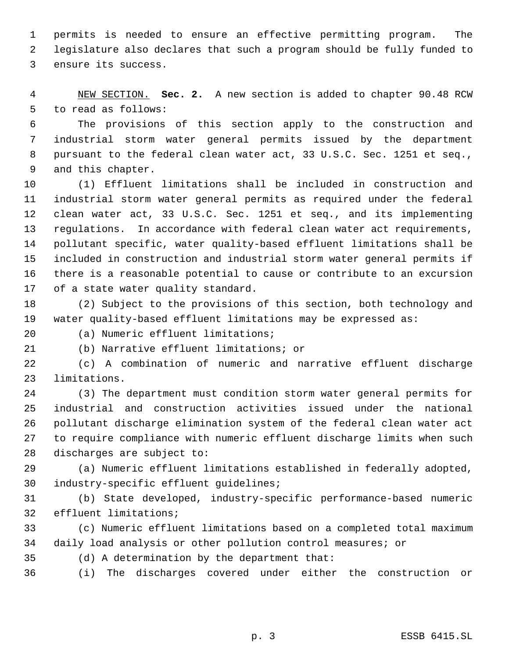permits is needed to ensure an effective permitting program. The legislature also declares that such a program should be fully funded to ensure its success.

 NEW SECTION. **Sec. 2.** A new section is added to chapter 90.48 RCW to read as follows:

 The provisions of this section apply to the construction and industrial storm water general permits issued by the department pursuant to the federal clean water act, 33 U.S.C. Sec. 1251 et seq., and this chapter.

 (1) Effluent limitations shall be included in construction and industrial storm water general permits as required under the federal clean water act, 33 U.S.C. Sec. 1251 et seq., and its implementing regulations. In accordance with federal clean water act requirements, pollutant specific, water quality-based effluent limitations shall be included in construction and industrial storm water general permits if there is a reasonable potential to cause or contribute to an excursion of a state water quality standard.

 (2) Subject to the provisions of this section, both technology and water quality-based effluent limitations may be expressed as:

(a) Numeric effluent limitations;

(b) Narrative effluent limitations; or

 (c) A combination of numeric and narrative effluent discharge limitations.

 (3) The department must condition storm water general permits for industrial and construction activities issued under the national pollutant discharge elimination system of the federal clean water act to require compliance with numeric effluent discharge limits when such discharges are subject to:

 (a) Numeric effluent limitations established in federally adopted, industry-specific effluent guidelines;

 (b) State developed, industry-specific performance-based numeric effluent limitations;

 (c) Numeric effluent limitations based on a completed total maximum daily load analysis or other pollution control measures; or

(d) A determination by the department that:

(i) The discharges covered under either the construction or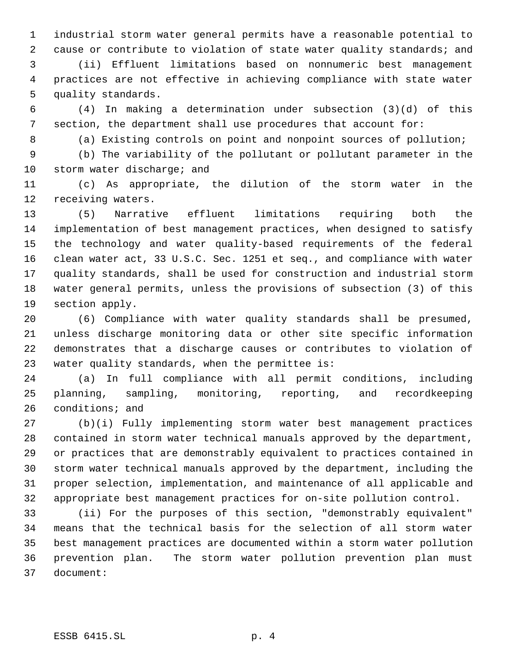industrial storm water general permits have a reasonable potential to cause or contribute to violation of state water quality standards; and

 (ii) Effluent limitations based on nonnumeric best management practices are not effective in achieving compliance with state water quality standards.

 (4) In making a determination under subsection (3)(d) of this section, the department shall use procedures that account for:

(a) Existing controls on point and nonpoint sources of pollution;

 (b) The variability of the pollutant or pollutant parameter in the 10 storm water discharge; and

 (c) As appropriate, the dilution of the storm water in the receiving waters.

 (5) Narrative effluent limitations requiring both the implementation of best management practices, when designed to satisfy the technology and water quality-based requirements of the federal clean water act, 33 U.S.C. Sec. 1251 et seq., and compliance with water quality standards, shall be used for construction and industrial storm water general permits, unless the provisions of subsection (3) of this section apply.

 (6) Compliance with water quality standards shall be presumed, unless discharge monitoring data or other site specific information demonstrates that a discharge causes or contributes to violation of water quality standards, when the permittee is:

 (a) In full compliance with all permit conditions, including planning, sampling, monitoring, reporting, and recordkeeping conditions; and

 (b)(i) Fully implementing storm water best management practices contained in storm water technical manuals approved by the department, or practices that are demonstrably equivalent to practices contained in storm water technical manuals approved by the department, including the proper selection, implementation, and maintenance of all applicable and appropriate best management practices for on-site pollution control.

 (ii) For the purposes of this section, "demonstrably equivalent" means that the technical basis for the selection of all storm water best management practices are documented within a storm water pollution prevention plan. The storm water pollution prevention plan must document: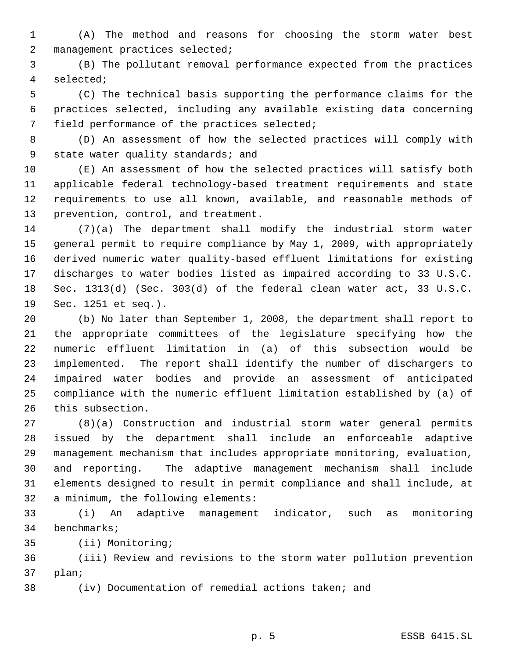(A) The method and reasons for choosing the storm water best management practices selected;

 (B) The pollutant removal performance expected from the practices selected;

 (C) The technical basis supporting the performance claims for the practices selected, including any available existing data concerning field performance of the practices selected;

 (D) An assessment of how the selected practices will comply with 9 state water quality standards; and

 (E) An assessment of how the selected practices will satisfy both applicable federal technology-based treatment requirements and state requirements to use all known, available, and reasonable methods of prevention, control, and treatment.

 (7)(a) The department shall modify the industrial storm water general permit to require compliance by May 1, 2009, with appropriately derived numeric water quality-based effluent limitations for existing discharges to water bodies listed as impaired according to 33 U.S.C. Sec. 1313(d) (Sec. 303(d) of the federal clean water act, 33 U.S.C. Sec. 1251 et seq.).

 (b) No later than September 1, 2008, the department shall report to the appropriate committees of the legislature specifying how the numeric effluent limitation in (a) of this subsection would be implemented. The report shall identify the number of dischargers to impaired water bodies and provide an assessment of anticipated compliance with the numeric effluent limitation established by (a) of this subsection.

 (8)(a) Construction and industrial storm water general permits issued by the department shall include an enforceable adaptive management mechanism that includes appropriate monitoring, evaluation, and reporting. The adaptive management mechanism shall include elements designed to result in permit compliance and shall include, at a minimum, the following elements:

 (i) An adaptive management indicator, such as monitoring benchmarks;

(ii) Monitoring;

 (iii) Review and revisions to the storm water pollution prevention plan;

(iv) Documentation of remedial actions taken; and

p. 5 ESSB 6415.SL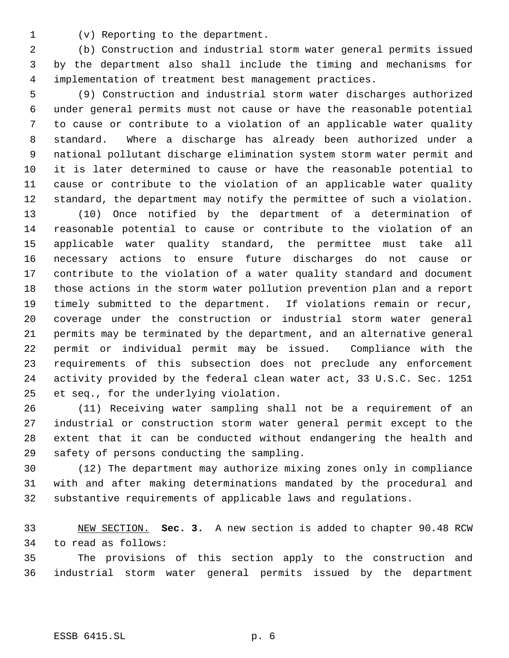(v) Reporting to the department.

 (b) Construction and industrial storm water general permits issued by the department also shall include the timing and mechanisms for implementation of treatment best management practices.

 (9) Construction and industrial storm water discharges authorized under general permits must not cause or have the reasonable potential to cause or contribute to a violation of an applicable water quality standard. Where a discharge has already been authorized under a national pollutant discharge elimination system storm water permit and it is later determined to cause or have the reasonable potential to cause or contribute to the violation of an applicable water quality standard, the department may notify the permittee of such a violation.

 (10) Once notified by the department of a determination of reasonable potential to cause or contribute to the violation of an applicable water quality standard, the permittee must take all necessary actions to ensure future discharges do not cause or contribute to the violation of a water quality standard and document those actions in the storm water pollution prevention plan and a report timely submitted to the department. If violations remain or recur, coverage under the construction or industrial storm water general permits may be terminated by the department, and an alternative general permit or individual permit may be issued. Compliance with the requirements of this subsection does not preclude any enforcement activity provided by the federal clean water act, 33 U.S.C. Sec. 1251 et seq., for the underlying violation.

 (11) Receiving water sampling shall not be a requirement of an industrial or construction storm water general permit except to the extent that it can be conducted without endangering the health and safety of persons conducting the sampling.

 (12) The department may authorize mixing zones only in compliance with and after making determinations mandated by the procedural and substantive requirements of applicable laws and regulations.

 NEW SECTION. **Sec. 3.** A new section is added to chapter 90.48 RCW to read as follows:

 The provisions of this section apply to the construction and industrial storm water general permits issued by the department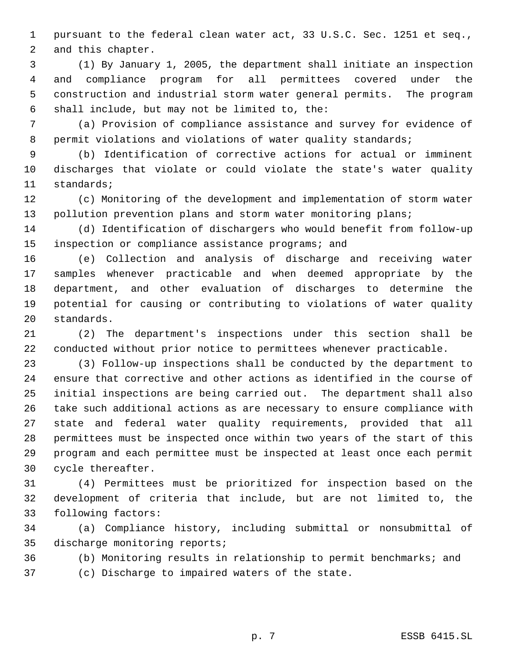pursuant to the federal clean water act, 33 U.S.C. Sec. 1251 et seq., and this chapter.

 (1) By January 1, 2005, the department shall initiate an inspection and compliance program for all permittees covered under the construction and industrial storm water general permits. The program shall include, but may not be limited to, the:

 (a) Provision of compliance assistance and survey for evidence of 8 permit violations and violations of water quality standards;

 (b) Identification of corrective actions for actual or imminent discharges that violate or could violate the state's water quality standards;

 (c) Monitoring of the development and implementation of storm water 13 pollution prevention plans and storm water monitoring plans;

 (d) Identification of dischargers who would benefit from follow-up inspection or compliance assistance programs; and

 (e) Collection and analysis of discharge and receiving water samples whenever practicable and when deemed appropriate by the department, and other evaluation of discharges to determine the potential for causing or contributing to violations of water quality standards.

 (2) The department's inspections under this section shall be conducted without prior notice to permittees whenever practicable.

 (3) Follow-up inspections shall be conducted by the department to ensure that corrective and other actions as identified in the course of initial inspections are being carried out. The department shall also take such additional actions as are necessary to ensure compliance with state and federal water quality requirements, provided that all permittees must be inspected once within two years of the start of this program and each permittee must be inspected at least once each permit cycle thereafter.

 (4) Permittees must be prioritized for inspection based on the development of criteria that include, but are not limited to, the following factors:

 (a) Compliance history, including submittal or nonsubmittal of discharge monitoring reports;

(b) Monitoring results in relationship to permit benchmarks; and

(c) Discharge to impaired waters of the state.

p. 7 ESSB 6415.SL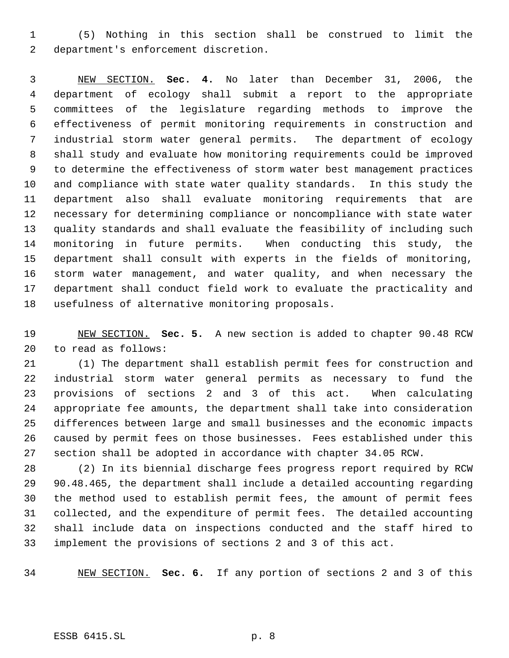(5) Nothing in this section shall be construed to limit the department's enforcement discretion.

 NEW SECTION. **Sec. 4.** No later than December 31, 2006, the department of ecology shall submit a report to the appropriate committees of the legislature regarding methods to improve the effectiveness of permit monitoring requirements in construction and industrial storm water general permits. The department of ecology shall study and evaluate how monitoring requirements could be improved to determine the effectiveness of storm water best management practices and compliance with state water quality standards. In this study the department also shall evaluate monitoring requirements that are necessary for determining compliance or noncompliance with state water quality standards and shall evaluate the feasibility of including such monitoring in future permits. When conducting this study, the department shall consult with experts in the fields of monitoring, storm water management, and water quality, and when necessary the department shall conduct field work to evaluate the practicality and usefulness of alternative monitoring proposals.

 NEW SECTION. **Sec. 5.** A new section is added to chapter 90.48 RCW to read as follows:

 (1) The department shall establish permit fees for construction and industrial storm water general permits as necessary to fund the provisions of sections 2 and 3 of this act. When calculating appropriate fee amounts, the department shall take into consideration differences between large and small businesses and the economic impacts caused by permit fees on those businesses. Fees established under this section shall be adopted in accordance with chapter 34.05 RCW.

 (2) In its biennial discharge fees progress report required by RCW 90.48.465, the department shall include a detailed accounting regarding the method used to establish permit fees, the amount of permit fees collected, and the expenditure of permit fees. The detailed accounting shall include data on inspections conducted and the staff hired to implement the provisions of sections 2 and 3 of this act.

NEW SECTION. **Sec. 6.** If any portion of sections 2 and 3 of this